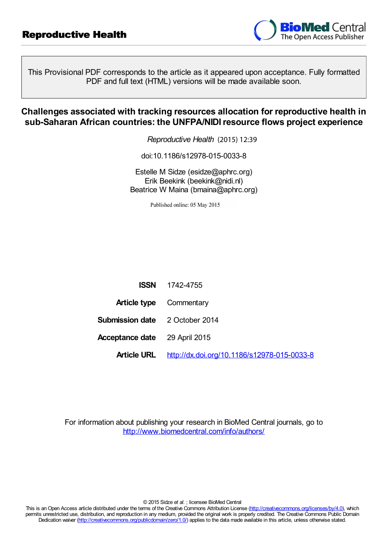

This Provisional PDF corresponds to the article as it appeared upon acceptance. Fully formatted PDF and full text (HTML) versions will be made available soon.

**Challenges associated with tracking resources allocation for reproductive health in sub-Saharan African countries: the UNFPA/NIDIresource flows project experience**

Reproductive Health (2015) 12:39

doi:10.1186/s12978-015-0033-8

Estelle M Sidze (esidze@aphrc.org) Erik Beekink (beekink@nidi.nl) Beatrice W Maina (bmaina@aphrc.org)

Published online: 05 May 2015

|                                       | $ISSN$ $1742-4755$                          |
|---------------------------------------|---------------------------------------------|
|                                       | <b>Article type</b> Commentary              |
| <b>Submission date</b> 2 October 2014 |                                             |
| <b>Acceptance date</b> 29 April 2015  |                                             |
| <b>Article URL</b>                    | http://dx.doi.org/10.1186/s12978-015-0033-8 |

For information about publishing your research in BioMed Central journals, go to <http://www.biomedcentral.com/info/authors/>

© 2015 Sidze *et al.* ; licensee BioMed Central

This is an Open Access article distributed under the terms of the Creative Commons Attribution License [\(http://creativecommons.org/licenses/by/4.0](http://creativecommons.org/licenses/by/4.0)), which permits unrestricted use, distribution, and reproduction in any medium, provided the original work is properly credited. The Creative Commons Public Domain Dedication waiver [\(http://creativecommons.org/publicdomain/zero/1.0/](http://creativecommons.org/publicdomain/zero/1.0/)) applies to the data made available in this article, unless otherwise stated.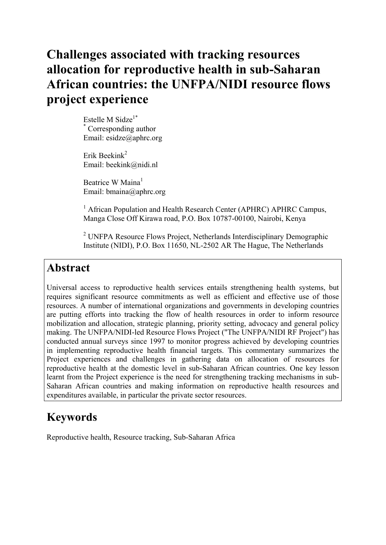# **Challenges associated with tracking resources allocation for reproductive health in sub-Saharan African countries: the UNFPA/NIDI resource flows project experience**

Estelle M Sidze $1^*$ Corresponding author Email: esidze@aphrc.org

Erik Beekink $2$ Email: beekink@nidi.nl

Beatrice W Maina<sup>1</sup> Email: bmaina@aphrc.org

 $<sup>1</sup>$  African Population and Health Research Center (APHRC) APHRC Campus,</sup> Manga Close Off Kirawa road, P.O. Box 10787-00100, Nairobi, Kenya

<sup>2</sup> UNFPA Resource Flows Project, Netherlands Interdisciplinary Demographic Institute (NIDI), P.O. Box 11650, NL-2502 AR The Hague, The Netherlands

### **Abstract**

Universal access to reproductive health services entails strengthening health systems, but requires significant resource commitments as well as efficient and effective use of those resources. A number of international organizations and governments in developing countries are putting efforts into tracking the flow of health resources in order to inform resource mobilization and allocation, strategic planning, priority setting, advocacy and general policy making. The UNFPA/NIDI-led Resource Flows Project ("The UNFPA/NIDI RF Project") has conducted annual surveys since 1997 to monitor progress achieved by developing countries in implementing reproductive health financial targets. This commentary summarizes the Project experiences and challenges in gathering data on allocation of resources for reproductive health at the domestic level in sub-Saharan African countries. One key lesson learnt from the Project experience is the need for strengthening tracking mechanisms in sub-Saharan African countries and making information on reproductive health resources and expenditures available, in particular the private sector resources.

## **Keywords**

Reproductive health, Resource tracking, Sub-Saharan Africa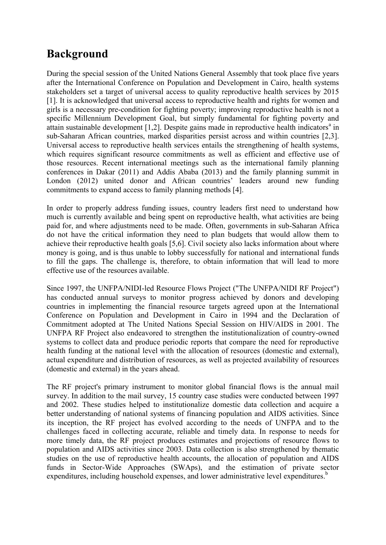### **Background**

During the special session of the United Nations General Assembly that took place five years after the International Conference on Population and Development in Cairo, health systems stakeholders set a target of universal access to quality reproductive health services by 2015 [1]. It is acknowledged that universal access to reproductive health and rights for women and girls is a necessary pre-condition for fighting poverty; improving reproductive health is not a specific Millennium Development Goal, but simply fundamental for fighting poverty and attain sustainable development  $[1,2]$ . Despite gains made in reproductive health indicators<sup>a</sup> in sub-Saharan African countries, marked disparities persist across and within countries [2,3]. Universal access to reproductive health services entails the strengthening of health systems, which requires significant resource commitments as well as efficient and effective use of those resources. Recent international meetings such as the international family planning conferences in Dakar (2011) and Addis Ababa (2013) and the family planning summit in London (2012) united donor and African countries' leaders around new funding commitments to expand access to family planning methods [4].

In order to properly address funding issues, country leaders first need to understand how much is currently available and being spent on reproductive health, what activities are being paid for, and where adjustments need to be made. Often, governments in sub-Saharan Africa do not have the critical information they need to plan budgets that would allow them to achieve their reproductive health goals [5,6]. Civil society also lacks information about where money is going, and is thus unable to lobby successfully for national and international funds to fill the gaps. The challenge is, therefore, to obtain information that will lead to more effective use of the resources available.

Since 1997, the UNFPA/NIDI-led Resource Flows Project ("The UNFPA/NIDI RF Project") has conducted annual surveys to monitor progress achieved by donors and developing countries in implementing the financial resource targets agreed upon at the International Conference on Population and Development in Cairo in 1994 and the Declaration of Commitment adopted at The United Nations Special Session on HIV/AIDS in 2001. The UNFPA RF Project also endeavored to strengthen the institutionalization of country-owned systems to collect data and produce periodic reports that compare the need for reproductive health funding at the national level with the allocation of resources (domestic and external), actual expenditure and distribution of resources, as well as projected availability of resources (domestic and external) in the years ahead.

The RF project's primary instrument to monitor global financial flows is the annual mail survey. In addition to the mail survey, 15 country case studies were conducted between 1997 and 2002. These studies helped to institutionalize domestic data collection and acquire a better understanding of national systems of financing population and AIDS activities. Since its inception, the RF project has evolved according to the needs of UNFPA and to the challenges faced in collecting accurate, reliable and timely data. In response to needs for more timely data, the RF project produces estimates and projections of resource flows to population and AIDS activities since 2003. Data collection is also strengthened by thematic studies on the use of reproductive health accounts, the allocation of population and AIDS funds in Sector-Wide Approaches (SWAps), and the estimation of private sector expenditures, including household expenses, and lower administrative level expenditures.<sup>b</sup>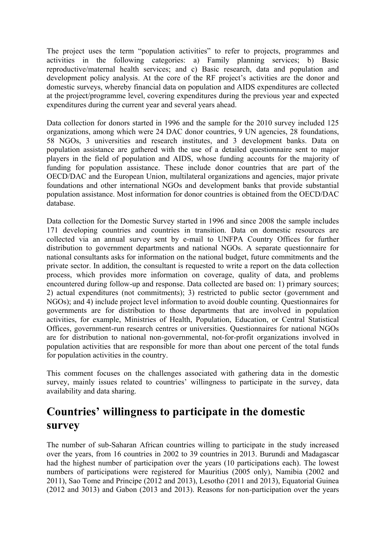The project uses the term "population activities" to refer to projects, programmes and activities in the following categories: a) Family planning services; b) Basic reproductive/maternal health services; and c) Basic research, data and population and development policy analysis. At the core of the RF project's activities are the donor and domestic surveys, whereby financial data on population and AIDS expenditures are collected at the project/programme level, covering expenditures during the previous year and expected expenditures during the current year and several years ahead.

Data collection for donors started in 1996 and the sample for the 2010 survey included 125 organizations, among which were 24 DAC donor countries, 9 UN agencies, 28 foundations, 58 NGOs, 3 universities and research institutes, and 3 development banks. Data on population assistance are gathered with the use of a detailed questionnaire sent to major players in the field of population and AIDS, whose funding accounts for the majority of funding for population assistance. These include donor countries that are part of the OECD/DAC and the European Union, multilateral organizations and agencies, major private foundations and other international NGOs and development banks that provide substantial population assistance. Most information for donor countries is obtained from the OECD/DAC database.

Data collection for the Domestic Survey started in 1996 and since 2008 the sample includes 171 developing countries and countries in transition. Data on domestic resources are collected via an annual survey sent by e-mail to UNFPA Country Offices for further distribution to government departments and national NGOs. A separate questionnaire for national consultants asks for information on the national budget, future commitments and the private sector. In addition, the consultant is requested to write a report on the data collection process, which provides more information on coverage, quality of data, and problems encountered during follow-up and response. Data collected are based on: 1) primary sources; 2) actual expenditures (not commitments); 3) restricted to public sector (government and NGOs); and 4) include project level information to avoid double counting. Questionnaires for governments are for distribution to those departments that are involved in population activities, for example, Ministries of Health, Population, Education, or Central Statistical Offices, government-run research centres or universities. Questionnaires for national NGOs are for distribution to national non-governmental, not-for-profit organizations involved in population activities that are responsible for more than about one percent of the total funds for population activities in the country.

This comment focuses on the challenges associated with gathering data in the domestic survey, mainly issues related to countries' willingness to participate in the survey, data availability and data sharing.

### **Countries' willingness to participate in the domestic survey**

The number of sub-Saharan African countries willing to participate in the study increased over the years, from 16 countries in 2002 to 39 countries in 2013. Burundi and Madagascar had the highest number of participation over the years (10 participations each). The lowest numbers of participations were registered for Mauritius (2005 only), Namibia (2002 and 2011), Sao Tome and Principe (2012 and 2013), Lesotho (2011 and 2013), Equatorial Guinea (2012 and 3013) and Gabon (2013 and 2013). Reasons for non-participation over the years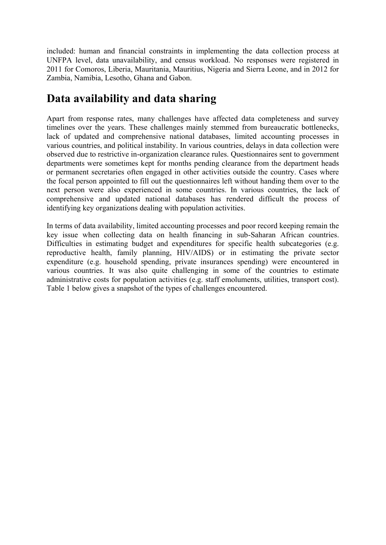included: human and financial constraints in implementing the data collection process at UNFPA level, data unavailability, and census workload. No responses were registered in 2011 for Comoros, Liberia, Mauritania, Mauritius, Nigeria and Sierra Leone, and in 2012 for Zambia, Namibia, Lesotho, Ghana and Gabon.

### **Data availability and data sharing**

Apart from response rates, many challenges have affected data completeness and survey timelines over the years. These challenges mainly stemmed from bureaucratic bottlenecks, lack of updated and comprehensive national databases, limited accounting processes in various countries, and political instability. In various countries, delays in data collection were observed due to restrictive in-organization clearance rules. Questionnaires sent to government departments were sometimes kept for months pending clearance from the department heads or permanent secretaries often engaged in other activities outside the country. Cases where the focal person appointed to fill out the questionnaires left without handing them over to the next person were also experienced in some countries. In various countries, the lack of comprehensive and updated national databases has rendered difficult the process of identifying key organizations dealing with population activities.

In terms of data availability, limited accounting processes and poor record keeping remain the key issue when collecting data on health financing in sub-Saharan African countries. Difficulties in estimating budget and expenditures for specific health subcategories (e.g. reproductive health, family planning, HIV/AIDS) or in estimating the private sector expenditure (e.g. household spending, private insurances spending) were encountered in various countries. It was also quite challenging in some of the countries to estimate administrative costs for population activities (e.g. staff emoluments, utilities, transport cost). Table 1 below gives a snapshot of the types of challenges encountered.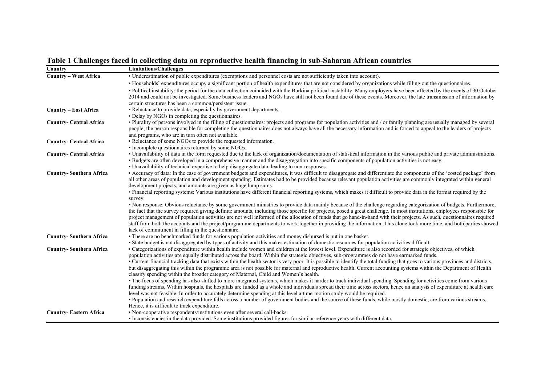| Country                        | <b>Limitations/Challenges</b>                                                                                                                                                   |
|--------------------------------|---------------------------------------------------------------------------------------------------------------------------------------------------------------------------------|
| <b>Country - West Africa</b>   | • Underestimation of public expenditures (exemptions and personnel costs are not sufficiently taken into account).                                                              |
|                                | • Households' expenditures occupy a significant portion of health expenditures that are not considered by organizations while filling out the questionnaires.                   |
|                                | • Political instability: the period for the data collection coincided with the Burkina political instability. Many employers have been affected by the events of 30 October     |
|                                | 2014 and could not be investigated. Some business leaders and NGOs have still not been found due of these events. Moreover, the late transmission of information by             |
|                                | certain structures has been a common/persistent issue.                                                                                                                          |
| <b>Country - East Africa</b>   | • Reluctance to provide data, especially by government departments.                                                                                                             |
|                                | • Delay by NGOs in completing the questionnaires.                                                                                                                               |
| <b>Country- Central Africa</b> | • Plurality of persons involved in the filling of questionnaires: projects and programs for population activities and / or family planning are usually managed by several       |
|                                | people; the person responsible for completing the questionnaires does not always have all the necessary information and is forced to appeal to the leaders of projects          |
|                                | and programs, who are in turn often not available.                                                                                                                              |
| <b>Country-Central Africa</b>  | • Reluctance of some NGOs to provide the requested information.                                                                                                                 |
|                                | • Incomplete questionnaires returned by some NGOs.                                                                                                                              |
| <b>Country-Central Africa</b>  | • Unavailability of data in the form requested due to the lack of organization/documentation of statistical information in the various public and private administrations.      |
|                                | • Budgets are often developed in a comprehensive manner and the disaggregation into specific components of population activities is not easy.                                   |
|                                | • Unavailability of technical expertise to help disaggregate data, leading to non-responses.                                                                                    |
| <b>Country-Southern Africa</b> | • Accuracy of data: In the case of government budgets and expenditures, it was difficult to disaggregate and differentiate the components of the 'costed package' from          |
|                                | all other areas of population and development spending. Estimates had to be provided because relevant population activities are commonly integrated within general              |
|                                | development projects, and amounts are given as huge lump sums.                                                                                                                  |
|                                | • Financial reporting systems: Various institutions have different financial reporting systems, which makes it difficult to provide data in the format required by the          |
|                                | survey.                                                                                                                                                                         |
|                                | • Non response: Obvious reluctance by some government ministries to provide data mainly because of the challenge regarding categorization of budgets. Furthermore,              |
|                                | the fact that the survey required giving definite amounts, including those specific for projects, posed a great challenge. In most institutions, employees responsible for      |
|                                | project management of population activities are not well informed of the allocation of funds that go hand-in-hand with their projects. As such, questionnaires required         |
|                                | staff from both the accounts and the project/programme departments to work together in providing the information. This alone took more time, and both parties showed            |
|                                | lack of commitment in filling in the questionnaire.                                                                                                                             |
| <b>Country-Southern Africa</b> | • There are no benchmarked funds for various population activities and money disbursed is put in one basket.                                                                    |
|                                | • State budget is not disaggregated by types of activity and this makes estimation of domestic resources for population activities difficult.                                   |
| <b>Country-Southern Africa</b> | • Categorizations of expenditure within health include women and children at the lowest level. Expenditure is also recorded for strategic objectives, of which                  |
|                                | population activities are equally distributed across the board. Within the strategic objectives, sub-programmes do not have earmarked funds.                                    |
|                                | • Current financial tracking data that exists within the health sector is very poor. It is possible to identify the total funding that goes to various provinces and districts, |
|                                | but disaggregating this within the programme area is not possible for maternal and reproductive health. Current accounting systems within the Department of Health              |
|                                | classify spending within the broader category of Maternal, Child and Women's health.                                                                                            |
|                                | • The focus of spending has also shifted to more integrated systems, which makes it harder to track individual spending. Spending for activities come from various              |
|                                | funding streams. Within hospitals, the hospitals are funded as a whole and individuals spread their time across sectors, hence an analysis of expenditure at health care        |
|                                | level was not feasible. In order to accurately determine spending at this level a time-motion study would be required.                                                          |
|                                | • Population and research expenditure falls across a number of government bodies and the source of these funds, while mostly domestic, are from various streams.                |
|                                | Hence, it is difficult to track expenditure.                                                                                                                                    |
| <b>Country-Eastern Africa</b>  | • Non-cooperative respondents/institutions even after several call-backs.                                                                                                       |
|                                | • Inconsistencies in the data provided. Some institutions provided figures for similar reference years with different data.                                                     |

**Table 1 Challenges faced in collecting data on reproductive health financing in sub-Saharan African countries**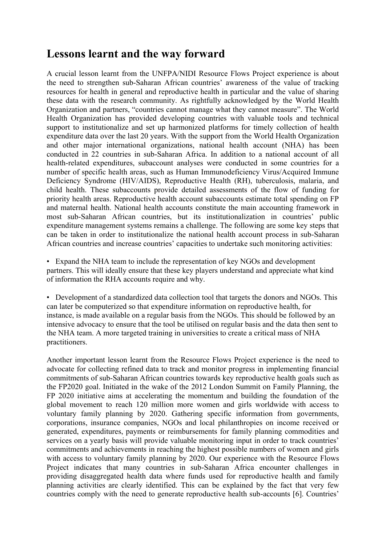### **Lessons learnt and the way forward**

A crucial lesson learnt from the UNFPA/NIDI Resource Flows Project experience is about the need to strengthen sub-Saharan African countries' awareness of the value of tracking resources for health in general and reproductive health in particular and the value of sharing these data with the research community. As rightfully acknowledged by the World Health Organization and partners, "countries cannot manage what they cannot measure". The World Health Organization has provided developing countries with valuable tools and technical support to institutionalize and set up harmonized platforms for timely collection of health expenditure data over the last 20 years. With the support from the World Health Organization and other major international organizations, national health account (NHA) has been conducted in 22 countries in sub-Saharan Africa. In addition to a national account of all health-related expenditures, subaccount analyses were conducted in some countries for a number of specific health areas, such as Human Immunodeficiency Virus/Acquired Immune Deficiency Syndrome (HIV/AIDS), Reproductive Health (RH), tuberculosis, malaria, and child health. These subaccounts provide detailed assessments of the flow of funding for priority health areas. Reproductive health account subaccounts estimate total spending on FP and maternal health. National health accounts constitute the main accounting framework in most sub-Saharan African countries, but its institutionalization in countries' public expenditure management systems remains a challenge. The following are some key steps that can be taken in order to institutionalize the national health account process in sub-Saharan African countries and increase countries' capacities to undertake such monitoring activities:

• Expand the NHA team to include the representation of key NGOs and development partners. This will ideally ensure that these key players understand and appreciate what kind of information the RHA accounts require and why.

• Development of a standardized data collection tool that targets the donors and NGOs. This can later be computerized so that expenditure information on reproductive health, for instance, is made available on a regular basis from the NGOs. This should be followed by an intensive advocacy to ensure that the tool be utilised on regular basis and the data then sent to the NHA team. A more targeted training in universities to create a critical mass of NHA practitioners.

Another important lesson learnt from the Resource Flows Project experience is the need to advocate for collecting refined data to track and monitor progress in implementing financial commitments of sub-Saharan African countries towards key reproductive health goals such as the FP2020 goal. Initiated in the wake of the 2012 London Summit on Family Planning, the FP 2020 initiative aims at accelerating the momentum and building the foundation of the global movement to reach 120 million more women and girls worldwide with access to voluntary family planning by 2020. Gathering specific information from governments, corporations, insurance companies, NGOs and local philanthropies on income received or generated, expenditures, payments or reimbursements for family planning commodities and services on a yearly basis will provide valuable monitoring input in order to track countries' commitments and achievements in reaching the highest possible numbers of women and girls with access to voluntary family planning by 2020. Our experience with the Resource Flows Project indicates that many countries in sub-Saharan Africa encounter challenges in providing disaggregated health data where funds used for reproductive health and family planning activities are clearly identified. This can be explained by the fact that very few countries comply with the need to generate reproductive health sub-accounts [6]. Countries'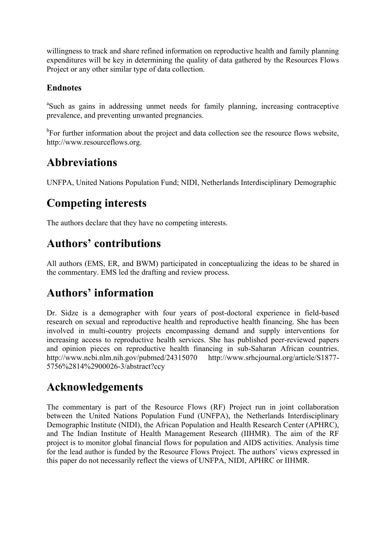willingness to track and share refined information on reproductive health and family planning expenditures will be key in determining the quality of data gathered by the Resources Flows Project or any other similar type of data collection.

#### **Endnotes**

<sup>a</sup>Such as gains in addressing unmet needs for family planning, increasing contraceptive prevalence, and preventing unwanted pregnancies.

<sup>b</sup>For further information about the project and data collection see the resource flows website, http://www.resourceflows.org.

## **Abbreviations**

UNFPA, United Nations Population Fund; NIDI, Netherlands Interdisciplinary Demographic

# **Competing interests**

The authors declare that they have no competing interests.

## **Authors' contributions**

All authors (EMS, ER, and BWM) participated in conceptualizing the ideas to be shared in the commentary. EMS led the drafting and review process.

# **Authors' information**

Dr. Sidze is a demographer with four years of post-doctoral experience in field-based research on sexual and reproductive health and reproductive health financing. She has been involved in multi-country projects encompassing demand and supply interventions for increasing access to reproductive health services. She has published peer-reviewed papers and opinion pieces on reproductive health financing in sub-Saharan African countries. http://www.ncbi.nlm.nih.gov/pubmed/24315070 http://www.srhcjournal.org/article/S1877- 5756%2814%2900026-3/abstract?ccy

## **Acknowledgements**

The commentary is part of the Resource Flows (RF) Project run in joint collaboration between the United Nations Population Fund (UNFPA), the Netherlands Interdisciplinary Demographic Institute (NIDI), the African Population and Health Research Center (APHRC), and The Indian Institute of Health Management Research (IIHMR). The aim of the RF project is to monitor global financial flows for population and AIDS activities. Analysis time for the lead author is funded by the Resource Flows Project. The authors' views expressed in this paper do not necessarily reflect the views of UNFPA, NIDI, APHRC or IIHMR.